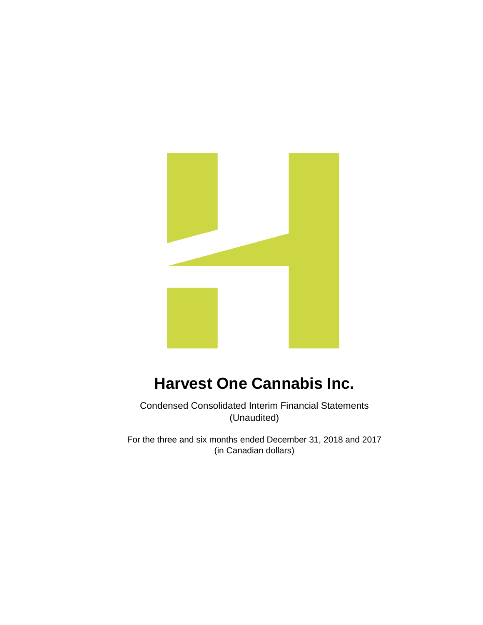

Condensed Consolidated Interim Financial Statements (Unaudited)

For the three and six months ended December 31, 2018 and 2017 (in Canadian dollars)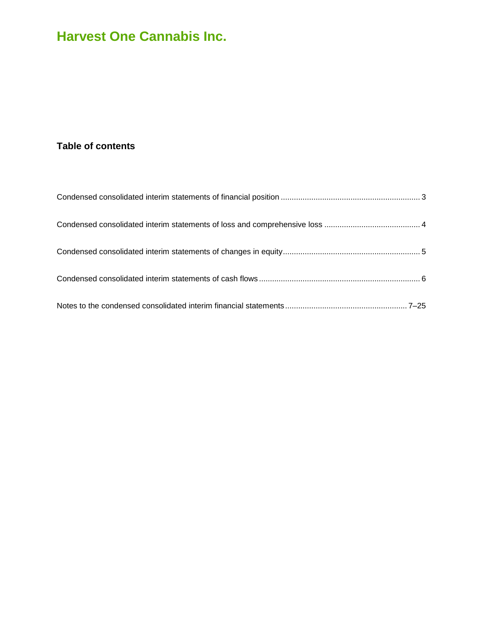### **Table of contents**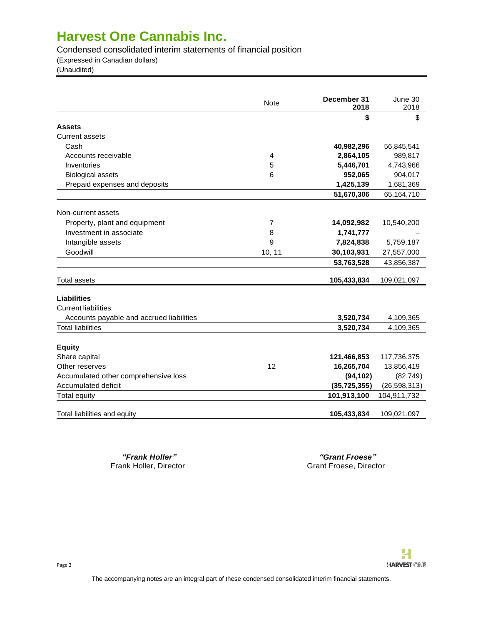Condensed consolidated interim statements of financial position

(Expressed in Canadian dollars)

(Unaudited)

|                                          | <b>Note</b> | December 31<br>2018 | June 30<br>2018 |
|------------------------------------------|-------------|---------------------|-----------------|
|                                          |             | \$                  | \$              |
| <b>Assets</b>                            |             |                     |                 |
| <b>Current assets</b>                    |             |                     |                 |
| Cash                                     |             | 40,982,296          | 56,845,541      |
| Accounts receivable                      | 4           | 2,864,105           | 989,817         |
| Inventories                              | 5           | 5,446,701           | 4,743,966       |
| <b>Biological assets</b>                 | 6           | 952,065             | 904,017         |
| Prepaid expenses and deposits            |             | 1,425,139           | 1,681,369       |
|                                          |             | 51,670,306          | 65,164,710      |
| Non-current assets                       |             |                     |                 |
| Property, plant and equipment            | 7           | 14,092,982          | 10,540,200      |
| Investment in associate                  | 8           | 1,741,777           |                 |
| Intangible assets                        | 9           | 7,824,838           | 5,759,187       |
| Goodwill                                 | 10, 11      | 30,103,931          | 27,557,000      |
|                                          |             | 53,763,528          | 43,856,387      |
| <b>Total assets</b>                      |             | 105,433,834         | 109,021,097     |
| <b>Liabilities</b>                       |             |                     |                 |
| <b>Current liabilities</b>               |             |                     |                 |
| Accounts payable and accrued liabilities |             | 3,520,734           | 4,109,365       |
| <b>Total liabilities</b>                 |             | 3,520,734           | 4,109,365       |
|                                          |             |                     |                 |
| <b>Equity</b>                            |             |                     |                 |
| Share capital                            |             | 121,466,853         | 117,736,375     |
| Other reserves                           | 12          | 16,265,704          | 13,856,419      |
| Accumulated other comprehensive loss     |             | (94, 102)           | (82, 749)       |
| Accumulated deficit                      |             | (35, 725, 355)      | (26, 598, 313)  |
| <b>Total equity</b>                      |             | 101,913,100         | 104,911,732     |
| Total liabilities and equity             |             | 105,433,834         | 109,021,097     |

*"Frank Holler" "Grant Froese"*  Grant Froese, Director

Page 3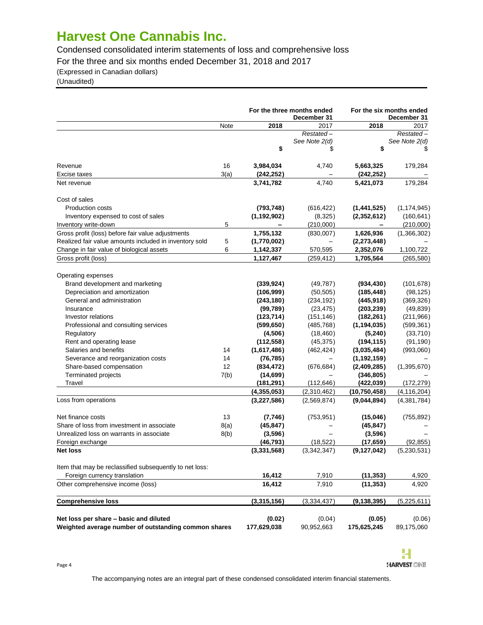Condensed consolidated interim statements of loss and comprehensive loss

For the three and six months ended December 31, 2018 and 2017

(Expressed in Canadian dollars)

(Unaudited)

|                                                             |      |               | For the three months ended<br>December 31 | For the six months ended | December 31   |
|-------------------------------------------------------------|------|---------------|-------------------------------------------|--------------------------|---------------|
|                                                             | Note | 2018          | 2017                                      | 2018                     | 2017          |
|                                                             |      |               | Restated-                                 |                          | Restated-     |
|                                                             |      |               | See Note 2(d)                             |                          | See Note 2(d) |
|                                                             |      | \$            | \$                                        | \$                       | \$            |
| Revenue                                                     | 16   | 3,984,034     | 4,740                                     | 5,663,325                | 179,284       |
| Excise taxes                                                | 3(a) | (242, 252)    |                                           | (242, 252)               |               |
| Net revenue                                                 |      | 3,741,782     | 4,740                                     | 5,421,073                | 179,284       |
| Cost of sales                                               |      |               |                                           |                          |               |
| Production costs                                            |      | (793, 748)    | (616, 422)                                | (1,441,525)              | (1, 174, 945) |
| Inventory expensed to cost of sales                         |      | (1, 192, 902) | (8,325)                                   | (2,352,612)              | (160, 641)    |
| Inventory write-down                                        | 5    |               | (210,000)                                 | $\overline{\phantom{0}}$ | (210,000)     |
| Gross profit (loss) before fair value adjustments           |      | 1,755,132     | (830,007)                                 | 1,626,936                | (1,366,302)   |
| Realized fair value amounts included in inventory sold      | 5    | (1,770,002)   |                                           | (2, 273, 448)            |               |
| Change in fair value of biological assets                   | 6    | 1,142,337     | 570,595                                   | 2,352,076                | 1,100,722     |
| Gross profit (loss)                                         |      | 1,127,467     | (259, 412)                                | 1,705,564                | (265,580)     |
|                                                             |      |               |                                           |                          |               |
| Operating expenses                                          |      |               |                                           |                          |               |
| Brand development and marketing                             |      | (339, 924)    | (49, 787)                                 | (934, 430)               | (101, 678)    |
| Depreciation and amortization<br>General and administration |      | (106, 999)    | (50, 505)                                 | (185, 448)               | (98, 125)     |
|                                                             |      | (243, 180)    | (234, 192)                                | (445, 918)               | (369, 326)    |
| Insurance                                                   |      | (99, 789)     | (23, 475)                                 | (203, 239)               | (49, 839)     |
| <b>Investor relations</b>                                   |      | (123, 714)    | (151, 146)                                | (182, 261)               | (211, 966)    |
| Professional and consulting services                        |      | (599, 650)    | (485, 768)                                | (1, 194, 035)            | (599, 361)    |
| Regulatory                                                  |      | (4, 506)      | (18, 460)                                 | (5, 240)                 | (33,710)      |
| Rent and operating lease                                    |      | (112, 558)    | (45, 375)                                 | (194, 115)               | (91, 190)     |
| Salaries and benefits                                       | 14   | (1,617,486)   | (462, 424)                                | (3,035,484)              | (993,060)     |
| Severance and reorganization costs                          | 14   | (76, 785)     |                                           | (1, 192, 159)            |               |
| Share-based compensation                                    | 12   | (834, 472)    | (676, 684)                                | (2,409,285)              | (1, 395, 670) |
| Terminated projects                                         | 7(b) | (14, 699)     |                                           | (346, 805)               |               |
| Travel                                                      |      | (181, 291)    | (112,646)                                 | (422, 039)               | (172, 279)    |
|                                                             |      | (4,355,053)   | (2,310,462)                               | (10, 750, 458)           | (4, 116, 204) |
| Loss from operations                                        |      | (3, 227, 586) | (2,569,874)                               | (9,044,894)              | (4,381,784)   |
| Net finance costs                                           | 13   | (7,746)       | (753, 951)                                | (15,046)                 | (755, 892)    |
| Share of loss from investment in associate                  | 8(a) | (45, 847)     |                                           | (45, 847)                |               |
| Unrealized loss on warrants in associate                    | 8(b) | (3,596)       |                                           | (3, 596)                 |               |
| Foreign exchange                                            |      | (46, 793)     | (18, 522)                                 | (17, 659)                | (92, 855)     |
| <b>Net loss</b>                                             |      | (3,331,568)   | (3,342,347)                               | (9, 127, 042)            | (5,230,531)   |
| Item that may be reclassified subsequently to net loss:     |      |               |                                           |                          |               |
| Foreign currency translation                                |      | 16,412        | 7,910                                     | (11, 353)                | 4,920         |
| Other comprehensive income (loss)                           |      | 16,412        | 7,910                                     | (11, 353)                | 4,920         |
| <b>Comprehensive loss</b>                                   |      | (3,315,156)   | (3,334,437)                               | (9, 138, 395)            | (5,225,611)   |
|                                                             |      |               |                                           |                          |               |
| Net loss per share - basic and diluted                      |      | (0.02)        | (0.04)                                    | (0.05)                   | (0.06)        |
| Weighted average number of outstanding common shares        |      | 177,629,038   | 90,952,663                                | 175,625,245              | 89,175,060    |



Page 4

The accompanying notes are an integral part of these condensed consolidated interim financial statements.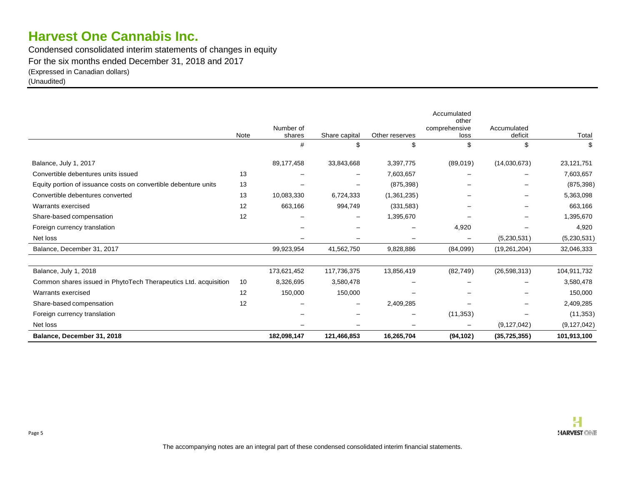Condensed consolidated interim statements of changes in equity For the six months ended December 31, 2018 and 2017 (Expressed in Canadian dollars) (Unaudited)

|                                                                 |      |             |                          |                | Accumulated<br>other |                |               |
|-----------------------------------------------------------------|------|-------------|--------------------------|----------------|----------------------|----------------|---------------|
|                                                                 |      | Number of   |                          |                | comprehensive        | Accumulated    |               |
|                                                                 | Note | shares      | Share capital            | Other reserves | loss                 | deficit        | Total         |
|                                                                 |      | #           |                          | \$             | \$                   | \$             | S             |
| Balance, July 1, 2017                                           |      | 89,177,458  | 33,843,668               | 3,397,775      | (89,019)             | (14,030,673)   | 23,121,751    |
| Convertible debentures units issued                             | 13   |             | $\qquad \qquad -$        | 7,603,657      |                      |                | 7,603,657     |
| Equity portion of issuance costs on convertible debenture units | 13   |             | $\overline{\phantom{0}}$ | (875, 398)     |                      |                | (875, 398)    |
| Convertible debentures converted                                | 13   | 10,083,330  | 6,724,333                | (1,361,235)    |                      |                | 5,363,098     |
| Warrants exercised                                              | 12   | 663,166     | 994,749                  | (331,583)      |                      |                | 663,166       |
| Share-based compensation                                        | 12   |             | $\overline{\phantom{m}}$ | 1,395,670      |                      |                | 1,395,670     |
| Foreign currency translation                                    |      |             |                          |                | 4,920                |                | 4,920         |
| Net loss                                                        |      |             |                          |                |                      | (5,230,531)    | (5,230,531)   |
| Balance, December 31, 2017                                      |      | 99,923,954  | 41,562,750               | 9,828,886      | (84,099)             | (19, 261, 204) | 32,046,333    |
|                                                                 |      | 173,621,452 | 117,736,375              | 13,856,419     |                      |                |               |
| Balance, July 1, 2018                                           |      |             |                          |                | (82, 749)            | (26, 598, 313) | 104,911,732   |
| Common shares issued in PhytoTech Therapeutics Ltd. acquisition | 10   | 8,326,695   | 3,580,478                |                |                      |                | 3,580,478     |
| Warrants exercised                                              | 12   | 150,000     | 150,000                  |                |                      |                | 150,000       |
| Share-based compensation                                        | 12   |             | $\overline{\phantom{m}}$ | 2,409,285      |                      |                | 2,409,285     |
| Foreign currency translation                                    |      |             |                          |                | (11, 353)            |                | (11, 353)     |
| Net loss                                                        |      |             |                          |                |                      | (9, 127, 042)  | (9, 127, 042) |
| Balance, December 31, 2018                                      |      | 182,098,147 | 121,466,853              | 16,265,704     | (94, 102)            | (35, 725, 355) | 101,913,100   |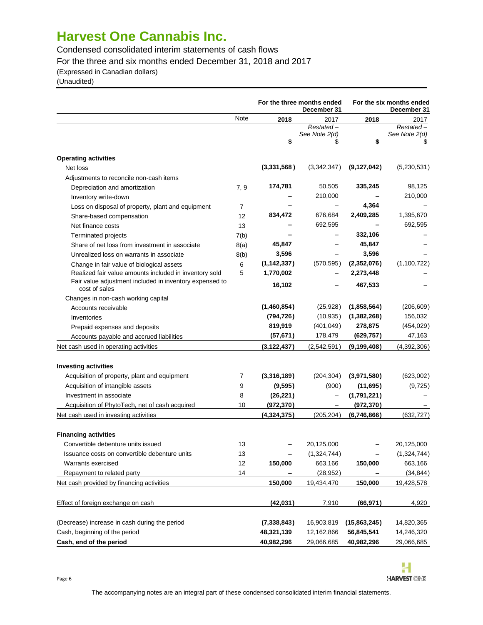Condensed consolidated interim statements of cash flows

For the three and six months ended December 31, 2018 and 2017

(Expressed in Canadian dollars)

(Unaudited)

|                                                         |      | For the three months ended<br>December 31 |                          |               | For the six months ended<br>December 31 |
|---------------------------------------------------------|------|-------------------------------------------|--------------------------|---------------|-----------------------------------------|
|                                                         | Note | 2018                                      | 2017                     | 2018          | 2017                                    |
|                                                         |      |                                           | Restated-                |               | Restated-                               |
|                                                         |      | \$                                        | See Note 2(d)            | \$            | See Note 2(d)                           |
|                                                         |      |                                           |                          |               |                                         |
| <b>Operating activities</b>                             |      |                                           |                          |               |                                         |
| Net loss                                                |      | (3,331,568)                               | (3,342,347)              | (9, 127, 042) | (5,230,531)                             |
| Adjustments to reconcile non-cash items                 |      |                                           |                          |               |                                         |
| Depreciation and amortization                           | 7, 9 | 174,781                                   | 50,505                   | 335,245       | 98,125                                  |
| Inventory write-down                                    |      |                                           | 210,000                  |               | 210,000                                 |
| Loss on disposal of property, plant and equipment       | 7    |                                           |                          | 4,364         |                                         |
| Share-based compensation                                | 12   | 834,472                                   | 676,684                  | 2,409,285     | 1,395,670                               |
| Net finance costs                                       | 13   |                                           | 692,595                  |               | 692,595                                 |
| Terminated projects                                     | 7(b) |                                           |                          | 332,106       |                                         |
| Share of net loss from investment in associate          | 8(a) | 45,847                                    |                          | 45,847        |                                         |
| Unrealized loss on warrants in associate                | 8(b) | 3,596                                     |                          | 3,596         |                                         |
| Change in fair value of biological assets               | 6    | (1, 142, 337)                             | (570, 595)               | (2,352,076)   | (1, 100, 722)                           |
| Realized fair value amounts included in inventory sold  | 5    | 1,770,002                                 |                          | 2,273,448     |                                         |
| Fair value adjustment included in inventory expensed to |      | 16,102                                    |                          | 467,533       |                                         |
| cost of sales                                           |      |                                           |                          |               |                                         |
| Changes in non-cash working capital                     |      |                                           |                          |               |                                         |
| Accounts receivable                                     |      | (1,460,854)                               | (25, 928)                | (1,858,564)   | (206, 609)                              |
| Inventories                                             |      | (794, 726)                                | (10, 935)                | (1,382,268)   | 156,032                                 |
| Prepaid expenses and deposits                           |      | 819,919                                   | (401, 049)               | 278,875       | (454, 029)                              |
| Accounts payable and accrued liabilities                |      | (57, 671)                                 | 178,479                  | (629, 757)    | 47,163                                  |
| Net cash used in operating activities                   |      | (3, 122, 437)                             | (2,542,591)              | (9, 199, 408) | (4,392,306)                             |
| <b>Investing activities</b>                             |      |                                           |                          |               |                                         |
| Acquisition of property, plant and equipment            | 7    | (3,316,189)                               | (204, 304)               | (3,971,580)   | (623,002)                               |
| Acquisition of intangible assets                        | 9    | (9, 595)                                  | (900)                    | (11,695)      | (9, 725)                                |
| Investment in associate                                 | 8    | (26, 221)                                 | $\qquad \qquad -$        | (1,791,221)   |                                         |
| Acquisition of PhytoTech, net of cash acquired          | 10   | (972, 370)                                | $\overline{\phantom{m}}$ | (972, 370)    |                                         |
| Net cash used in investing activities                   |      | (4,324,375)                               | (205, 204)               | (6,746,866)   | (632, 727)                              |
|                                                         |      |                                           |                          |               |                                         |
| <b>Financing activities</b>                             |      |                                           |                          |               |                                         |
| Convertible debenture units issued                      | 13   |                                           | 20,125,000               |               | 20,125,000                              |
| Issuance costs on convertible debenture units           | 13   |                                           | (1,324,744)              |               | (1,324,744)                             |
| Warrants exercised                                      | 12   | 150,000                                   | 663,166                  | 150,000       | 663,166                                 |
| Repayment to related party                              | 14   |                                           | (28, 952)                |               | (34, 844)                               |
| Net cash provided by financing activities               |      | 150,000                                   | 19,434,470               | 150,000       | 19,428,578                              |
|                                                         |      |                                           |                          |               |                                         |
| Effect of foreign exchange on cash                      |      | (42, 031)                                 | 7,910                    | (66, 971)     | 4,920                                   |
|                                                         |      |                                           |                          |               |                                         |
| (Decrease) increase in cash during the period           |      | (7, 338, 843)                             | 16,903,819               | (15,863,245)  | 14,820,365                              |
| Cash, beginning of the period                           |      | 48,321,139                                | 12,162,866               | 56,845,541    | 14,246,320                              |
| Cash, end of the period                                 |      | 40,982,296                                | 29,066,685               | 40,982,296    | 29,066,685                              |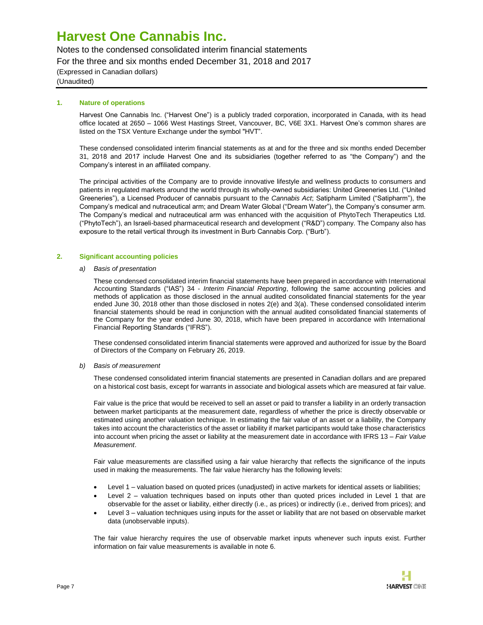Notes to the condensed consolidated interim financial statements

For the three and six months ended December 31, 2018 and 2017

(Expressed in Canadian dollars)

(Unaudited)

#### **1. Nature of operations**

Harvest One Cannabis Inc. ("Harvest One") is a publicly traded corporation, incorporated in Canada, with its head office located at 2650 – 1066 West Hastings Street, Vancouver, BC, V6E 3X1. Harvest One's common shares are listed on the TSX Venture Exchange under the symbol "HVT".

These condensed consolidated interim financial statements as at and for the three and six months ended December 31, 2018 and 2017 include Harvest One and its subsidiaries (together referred to as "the Company") and the Company's interest in an affiliated company.

The principal activities of the Company are to provide innovative lifestyle and wellness products to consumers and patients in regulated markets around the world through its wholly-owned subsidiaries: United Greeneries Ltd. ("United Greeneries"), a Licensed Producer of cannabis pursuant to the *Cannabis Act*; Satipharm Limited ("Satipharm"), the Company's medical and nutraceutical arm; and Dream Water Global ("Dream Water"), the Company's consumer arm. The Company's medical and nutraceutical arm was enhanced with the acquisition of PhytoTech Therapeutics Ltd. ("PhytoTech"), an Israeli-based pharmaceutical research and development ("R&D") company. The Company also has exposure to the retail vertical through its investment in Burb Cannabis Corp. ("Burb").

#### **2. Significant accounting policies**

#### *a) Basis of presentation*

These condensed consolidated interim financial statements have been prepared in accordance with International Accounting Standards ("IAS") 34 - *Interim Financial Reporting*, following the same accounting policies and methods of application as those disclosed in the annual audited consolidated financial statements for the year ended June 30, 2018 other than those disclosed in notes 2(e) and 3(a). These condensed consolidated interim financial statements should be read in conjunction with the annual audited consolidated financial statements of the Company for the year ended June 30, 2018, which have been prepared in accordance with International Financial Reporting Standards ("IFRS").

These condensed consolidated interim financial statements were approved and authorized for issue by the Board of Directors of the Company on February 26, 2019.

#### *b) Basis of measurement*

These condensed consolidated interim financial statements are presented in Canadian dollars and are prepared on a historical cost basis, except for warrants in associate and biological assets which are measured at fair value.

Fair value is the price that would be received to sell an asset or paid to transfer a liability in an orderly transaction between market participants at the measurement date, regardless of whether the price is directly observable or estimated using another valuation technique. In estimating the fair value of an asset or a liability, the Company takes into account the characteristics of the asset or liability if market participants would take those characteristics into account when pricing the asset or liability at the measurement date in accordance with IFRS 13 – *Fair Value Measurement*.

Fair value measurements are classified using a fair value hierarchy that reflects the significance of the inputs used in making the measurements. The fair value hierarchy has the following levels:

- Level 1 valuation based on quoted prices (unadjusted) in active markets for identical assets or liabilities;
- Level 2 valuation techniques based on inputs other than quoted prices included in Level 1 that are observable for the asset or liability, either directly (i.e., as prices) or indirectly (i.e., derived from prices); and
- Level 3 valuation techniques using inputs for the asset or liability that are not based on observable market data (unobservable inputs).

The fair value hierarchy requires the use of observable market inputs whenever such inputs exist. Further information on fair value measurements is available in note 6.

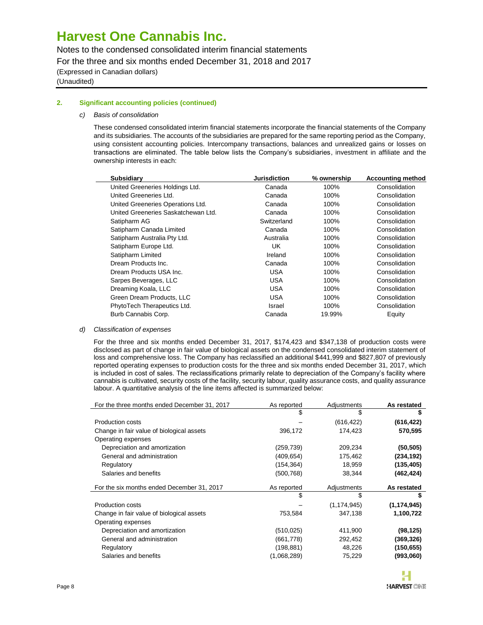Notes to the condensed consolidated interim financial statements

For the three and six months ended December 31, 2018 and 2017

(Expressed in Canadian dollars) (Unaudited)

#### **2. Significant accounting policies (continued)**

#### *c) Basis of consolidation*

These condensed consolidated interim financial statements incorporate the financial statements of the Company and its subsidiaries. The accounts of the subsidiaries are prepared for the same reporting period as the Company, using consistent accounting policies. Intercompany transactions, balances and unrealized gains or losses on transactions are eliminated. The table below lists the Company's subsidiaries, investment in affiliate and the ownership interests in each:

| <b>Subsidiary</b>                   | <b>Jurisdiction</b> | % ownership | <b>Accounting method</b> |
|-------------------------------------|---------------------|-------------|--------------------------|
| United Greeneries Holdings Ltd.     | Canada              | 100%        | Consolidation            |
| United Greeneries Ltd.              | Canada              | 100%        | Consolidation            |
| United Greeneries Operations Ltd.   | Canada              | 100%        | Consolidation            |
| United Greeneries Saskatchewan Ltd. | Canada              | 100%        | Consolidation            |
| Satipharm AG                        | Switzerland         | 100%        | Consolidation            |
| Satipharm Canada Limited            | Canada              | 100%        | Consolidation            |
| Satipharm Australia Pty Ltd.        | Australia           | 100%        | Consolidation            |
| Satipharm Europe Ltd.               | UK.                 | 100%        | Consolidation            |
| Satipharm Limited                   | Ireland             | 100%        | Consolidation            |
| Dream Products Inc.                 | Canada              | 100%        | Consolidation            |
| Dream Products USA Inc.             | USA                 | 100%        | Consolidation            |
| Sarpes Beverages, LLC               | USA                 | 100%        | Consolidation            |
| Dreaming Koala, LLC                 | USA                 | 100%        | Consolidation            |
| Green Dream Products, LLC           | USA                 | 100%        | Consolidation            |
| PhytoTech Therapeutics Ltd.         | Israel              | 100%        | Consolidation            |
| Burb Cannabis Corp.                 | Canada              | 19.99%      | Equity                   |
|                                     |                     |             |                          |

#### *d) Classification of expenses*

For the three and six months ended December 31, 2017, \$174,423 and \$347,138 of production costs were disclosed as part of change in fair value of biological assets on the condensed consolidated interim statement of loss and comprehensive loss. The Company has reclassified an additional \$441,999 and \$827,807 of previously reported operating expenses to production costs for the three and six months ended December 31, 2017, which is included in cost of sales. The reclassifications primarily relate to depreciation of the Company's facility where cannabis is cultivated, security costs of the facility, security labour, quality assurance costs, and quality assurance labour. A quantitative analysis of the line items affected is summarized below:

| For the three months ended December 31, 2017 | As reported | Adjustments   | As restated   |
|----------------------------------------------|-------------|---------------|---------------|
|                                              | \$          | \$            | 5             |
| Production costs                             |             | (616, 422)    | (616, 422)    |
| Change in fair value of biological assets    | 396,172     | 174,423       | 570,595       |
| Operating expenses                           |             |               |               |
| Depreciation and amortization                | (259, 739)  | 209,234       | (50, 505)     |
| General and administration                   | (409,654)   | 175,462       | (234, 192)    |
| Regulatory                                   | (154, 364)  | 18,959        | (135, 405)    |
| Salaries and benefits                        | (500, 768)  | 38,344        | (462, 424)    |
| For the six months ended December 31, 2017   | As reported | Adjustments   | As restated   |
|                                              | \$          | \$            |               |
| Production costs                             |             | (1, 174, 945) | (1, 174, 945) |
| Change in fair value of biological assets    | 753,584     | 347,138       | 1,100,722     |
| Operating expenses                           |             |               |               |
| Depreciation and amortization                | (510, 025)  | 411,900       | (98, 125)     |
| General and administration                   | (661, 778)  | 292,452       | (369, 326)    |
| Regulatory                                   | (198, 881)  | 48,226        | (150, 655)    |
| Salaries and benefits                        | (1,068,289) | 75,229        | (993,060)     |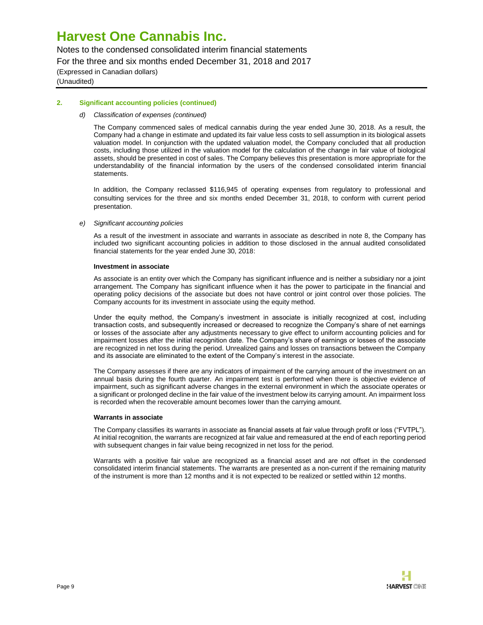Notes to the condensed consolidated interim financial statements

For the three and six months ended December 31, 2018 and 2017

(Expressed in Canadian dollars) (Unaudited)

#### **2. Significant accounting policies (continued)**

#### *d) Classification of expenses (continued)*

The Company commenced sales of medical cannabis during the year ended June 30, 2018. As a result, the Company had a change in estimate and updated its fair value less costs to sell assumption in its biological assets valuation model. In conjunction with the updated valuation model, the Company concluded that all production costs, including those utilized in the valuation model for the calculation of the change in fair value of biological assets, should be presented in cost of sales. The Company believes this presentation is more appropriate for the understandability of the financial information by the users of the condensed consolidated interim financial statements.

In addition, the Company reclassed \$116,945 of operating expenses from regulatory to professional and consulting services for the three and six months ended December 31, 2018, to conform with current period presentation.

#### *e) Significant accounting policies*

As a result of the investment in associate and warrants in associate as described in note 8, the Company has included two significant accounting policies in addition to those disclosed in the annual audited consolidated financial statements for the year ended June 30, 2018:

#### **Investment in associate**

As associate is an entity over which the Company has significant influence and is neither a subsidiary nor a joint arrangement. The Company has significant influence when it has the power to participate in the financial and operating policy decisions of the associate but does not have control or joint control over those policies. The Company accounts for its investment in associate using the equity method.

Under the equity method, the Company's investment in associate is initially recognized at cost, including transaction costs, and subsequently increased or decreased to recognize the Company's share of net earnings or losses of the associate after any adjustments necessary to give effect to uniform accounting policies and for impairment losses after the initial recognition date. The Company's share of earnings or losses of the associate are recognized in net loss during the period. Unrealized gains and losses on transactions between the Company and its associate are eliminated to the extent of the Company's interest in the associate.

The Company assesses if there are any indicators of impairment of the carrying amount of the investment on an annual basis during the fourth quarter. An impairment test is performed when there is objective evidence of impairment, such as significant adverse changes in the external environment in which the associate operates or a significant or prolonged decline in the fair value of the investment below its carrying amount. An impairment loss is recorded when the recoverable amount becomes lower than the carrying amount.

#### **Warrants in associate**

The Company classifies its warrants in associate as financial assets at fair value through profit or loss ("FVTPL"). At initial recognition, the warrants are recognized at fair value and remeasured at the end of each reporting period with subsequent changes in fair value being recognized in net loss for the period.

Warrants with a positive fair value are recognized as a financial asset and are not offset in the condensed consolidated interim financial statements. The warrants are presented as a non-current if the remaining maturity of the instrument is more than 12 months and it is not expected to be realized or settled within 12 months.

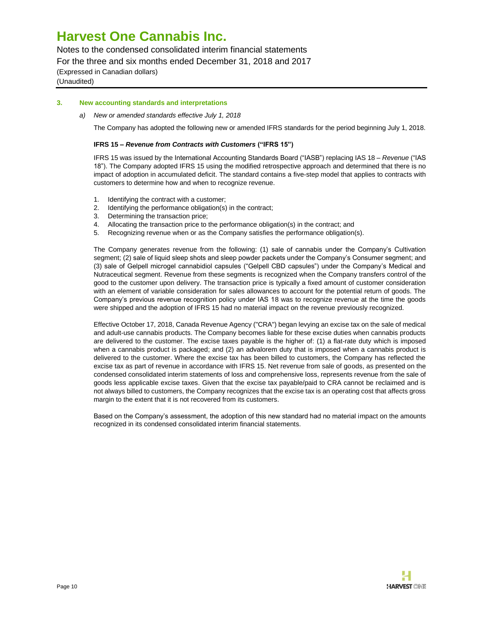Notes to the condensed consolidated interim financial statements

For the three and six months ended December 31, 2018 and 2017

(Expressed in Canadian dollars)

(Unaudited)

#### **3. New accounting standards and interpretations**

*a) New or amended standards effective July 1, 2018*

The Company has adopted the following new or amended IFRS standards for the period beginning July 1, 2018.

#### **IFRS 15 –** *Revenue from Contracts with Customers* **("IFRS 15")**

IFRS 15 was issued by the International Accounting Standards Board ("IASB") replacing IAS 18 – *Revenue* ("IAS 18"). The Company adopted IFRS 15 using the modified retrospective approach and determined that there is no impact of adoption in accumulated deficit. The standard contains a five-step model that applies to contracts with customers to determine how and when to recognize revenue.

- 1. Identifying the contract with a customer;
- 2. Identifying the performance obligation(s) in the contract;
- 3. Determining the transaction price;
- 4. Allocating the transaction price to the performance obligation(s) in the contract; and
- 5. Recognizing revenue when or as the Company satisfies the performance obligation(s).

The Company generates revenue from the following: (1) sale of cannabis under the Company's Cultivation segment; (2) sale of liquid sleep shots and sleep powder packets under the Company's Consumer segment; and (3) sale of Gelpell microgel cannabidiol capsules ("Gelpell CBD capsules") under the Company's Medical and Nutraceutical segment. Revenue from these segments is recognized when the Company transfers control of the good to the customer upon delivery. The transaction price is typically a fixed amount of customer consideration with an element of variable consideration for sales allowances to account for the potential return of goods. The Company's previous revenue recognition policy under IAS 18 was to recognize revenue at the time the goods were shipped and the adoption of IFRS 15 had no material impact on the revenue previously recognized.

Effective October 17, 2018, Canada Revenue Agency ("CRA") began levying an excise tax on the sale of medical and adult-use cannabis products. The Company becomes liable for these excise duties when cannabis products are delivered to the customer. The excise taxes payable is the higher of: (1) a flat-rate duty which is imposed when a cannabis product is packaged; and (2) an advalorem duty that is imposed when a cannabis product is delivered to the customer. Where the excise tax has been billed to customers, the Company has reflected the excise tax as part of revenue in accordance with IFRS 15. Net revenue from sale of goods, as presented on the condensed consolidated interim statements of loss and comprehensive loss, represents revenue from the sale of goods less applicable excise taxes. Given that the excise tax payable/paid to CRA cannot be reclaimed and is not always billed to customers, the Company recognizes that the excise tax is an operating cost that affects gross margin to the extent that it is not recovered from its customers.

Based on the Company's assessment, the adoption of this new standard had no material impact on the amounts recognized in its condensed consolidated interim financial statements.

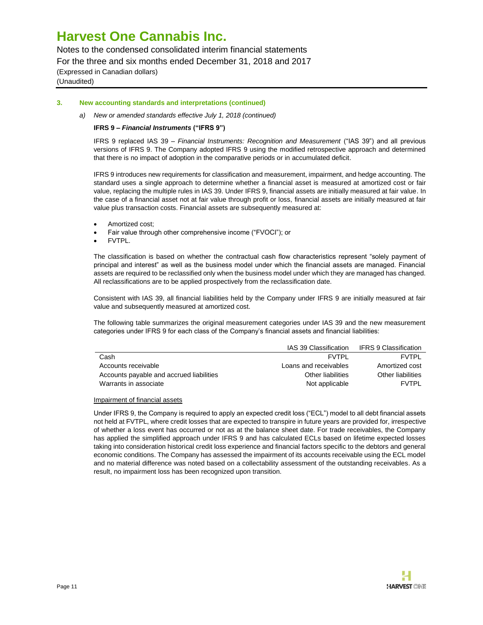Notes to the condensed consolidated interim financial statements

For the three and six months ended December 31, 2018 and 2017

(Expressed in Canadian dollars)

(Unaudited)

#### **3. New accounting standards and interpretations (continued)**

*a) New or amended standards effective July 1, 2018 (continued)*

#### **IFRS 9 –** *Financial Instruments* **("IFRS 9")**

IFRS 9 replaced IAS 39 – *Financial Instruments: Recognition and Measurement* ("IAS 39") and all previous versions of IFRS 9. The Company adopted IFRS 9 using the modified retrospective approach and determined that there is no impact of adoption in the comparative periods or in accumulated deficit.

IFRS 9 introduces new requirements for classification and measurement, impairment, and hedge accounting. The standard uses a single approach to determine whether a financial asset is measured at amortized cost or fair value, replacing the multiple rules in IAS 39. Under IFRS 9, financial assets are initially measured at fair value. In the case of a financial asset not at fair value through profit or loss, financial assets are initially measured at fair value plus transaction costs. Financial assets are subsequently measured at:

- Amortized cost;
- Fair value through other comprehensive income ("FVOCI"); or
- FVTPL.

The classification is based on whether the contractual cash flow characteristics represent "solely payment of principal and interest" as well as the business model under which the financial assets are managed. Financial assets are required to be reclassified only when the business model under which they are managed has changed. All reclassifications are to be applied prospectively from the reclassification date.

Consistent with IAS 39, all financial liabilities held by the Company under IFRS 9 are initially measured at fair value and subsequently measured at amortized cost.

The following table summarizes the original measurement categories under IAS 39 and the new measurement categories under IFRS 9 for each class of the Company's financial assets and financial liabilities:

|                                          | IAS 39 Classification | IFRS 9 Classification |
|------------------------------------------|-----------------------|-----------------------|
| Cash                                     | FVTPI                 | <b>FVTPI</b>          |
| Accounts receivable                      | Loans and receivables | Amortized cost        |
| Accounts payable and accrued liabilities | Other liabilities     | Other liabilities     |
| Warrants in associate                    | Not applicable        | <b>FVTPI</b>          |

#### Impairment of financial assets

Under IFRS 9, the Company is required to apply an expected credit loss ("ECL") model to all debt financial assets not held at FVTPL, where credit losses that are expected to transpire in future years are provided for, irrespective of whether a loss event has occurred or not as at the balance sheet date. For trade receivables, the Company has applied the simplified approach under IFRS 9 and has calculated ECLs based on lifetime expected losses taking into consideration historical credit loss experience and financial factors specific to the debtors and general economic conditions. The Company has assessed the impairment of its accounts receivable using the ECL model and no material difference was noted based on a collectability assessment of the outstanding receivables. As a result, no impairment loss has been recognized upon transition.

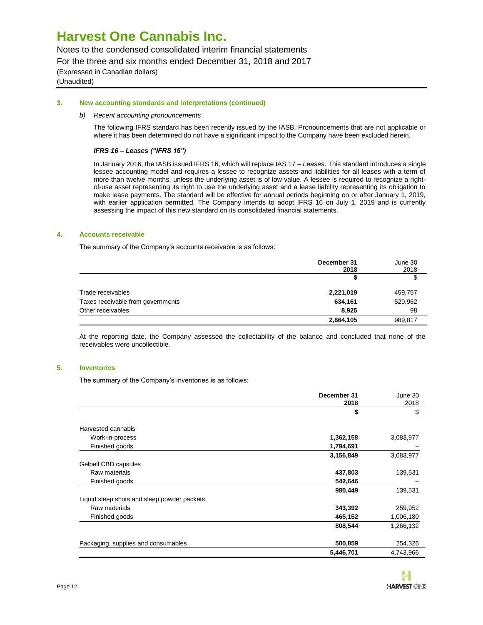Notes to the condensed consolidated interim financial statements

For the three and six months ended December 31, 2018 and 2017

(Expressed in Canadian dollars) (Unaudited)

#### **3. New accounting standards and interpretations (continued)**

#### *b) Recent accounting pronouncements*

The following IFRS standard has been recently issued by the IASB. Pronouncements that are not applicable or where it has been determined do not have a significant impact to the Company have been excluded herein.

#### *IFRS 16* **–** *Leases ("IFRS 16")*

In January 2016, the IASB issued IFRS 16, which will replace IAS 17 – *Leases*. This standard introduces a single lessee accounting model and requires a lessee to recognize assets and liabilities for all leases with a term of more than twelve months, unless the underlying asset is of low value. A lessee is required to recognize a rightof-use asset representing its right to use the underlying asset and a lease liability representing its obligation to make lease payments. The standard will be effective for annual periods beginning on or after January 1, 2019, with earlier application permitted. The Company intends to adopt IFRS 16 on July 1, 2019 and is currently assessing the impact of this new standard on its consolidated financial statements.

#### **4. Accounts receivable**

The summary of the Company's accounts receivable is as follows:

|                                   | December 31<br>2018 | June 30<br>2018 |
|-----------------------------------|---------------------|-----------------|
|                                   |                     |                 |
| Trade receivables                 | 2,221,019           | 459,757         |
| Taxes receivable from governments | 634,161             | 529,962         |
| Other receivables                 | 8,925               | 98              |
|                                   | 2,864,105           | 989,817         |

At the reporting date, the Company assessed the collectability of the balance and concluded that none of the receivables were uncollectible.

#### **5. Inventories**

The summary of the Company's inventories is as follows:

|                                             | December 31<br>2018 | June 30<br>2018 |
|---------------------------------------------|---------------------|-----------------|
|                                             | \$                  | \$              |
| Harvested cannabis                          |                     |                 |
| Work-in-process                             | 1,362,158           | 3,083,977       |
| Finished goods                              | 1,794,691           |                 |
|                                             | 3,156,849           | 3,083,977       |
| Gelpell CBD capsules                        |                     |                 |
| Raw materials                               | 437,803             | 139,531         |
| Finished goods                              | 542,646             |                 |
|                                             | 980,449             | 139,531         |
| Liquid sleep shots and sleep powder packets |                     |                 |
| Raw materials                               | 343,392             | 259,952         |
| Finished goods                              | 465,152             | 1,006,180       |
|                                             | 808,544             | 1,266,132       |
| Packaging, supplies and consumables         | 500,859             | 254,326         |
|                                             | 5,446,701           | 4,743,966       |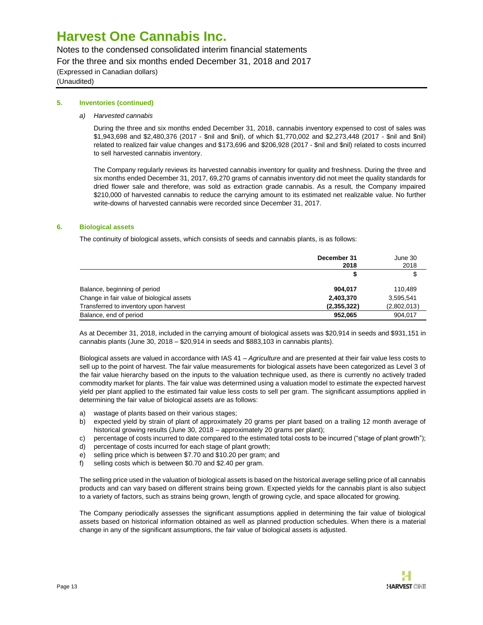Notes to the condensed consolidated interim financial statements

For the three and six months ended December 31, 2018 and 2017

(Expressed in Canadian dollars)

(Unaudited)

#### **5. Inventories (continued)**

*a) Harvested cannabis*

During the three and six months ended December 31, 2018, cannabis inventory expensed to cost of sales was \$1,943,698 and \$2,480,376 (2017 - \$nil and \$nil), of which \$1,770,002 and \$2,273,448 (2017 - \$nil and \$nil) related to realized fair value changes and \$173,696 and \$206,928 (2017 - \$nil and \$nil) related to costs incurred to sell harvested cannabis inventory.

The Company regularly reviews its harvested cannabis inventory for quality and freshness. During the three and six months ended December 31, 2017, 69,270 grams of cannabis inventory did not meet the quality standards for dried flower sale and therefore, was sold as extraction grade cannabis. As a result, the Company impaired \$210,000 of harvested cannabis to reduce the carrying amount to its estimated net realizable value. No further write-downs of harvested cannabis were recorded since December 31, 2017.

#### **6. Biological assets**

The continuity of biological assets, which consists of seeds and cannabis plants, is as follows:

|                                           | December 31<br>2018 | June 30<br>2018 |
|-------------------------------------------|---------------------|-----------------|
|                                           |                     | \$              |
| Balance, beginning of period              | 904.017             | 110.489         |
| Change in fair value of biological assets | 2,403,370           | 3,595,541       |
| Transferred to inventory upon harvest     | (2,355,322)         | (2,802,013)     |
| Balance, end of period                    | 952.065             | 904,017         |

As at December 31, 2018, included in the carrying amount of biological assets was \$20,914 in seeds and \$931,151 in cannabis plants (June 30, 2018 – \$20,914 in seeds and \$883,103 in cannabis plants).

Biological assets are valued in accordance with IAS 41 – *Agriculture* and are presented at their fair value less costs to sell up to the point of harvest. The fair value measurements for biological assets have been categorized as Level 3 of the fair value hierarchy based on the inputs to the valuation technique used, as there is currently no actively traded commodity market for plants. The fair value was determined using a valuation model to estimate the expected harvest yield per plant applied to the estimated fair value less costs to sell per gram. The significant assumptions applied in determining the fair value of biological assets are as follows:

- a) wastage of plants based on their various stages;
- b) expected yield by strain of plant of approximately 20 grams per plant based on a trailing 12 month average of historical growing results (June 30, 2018 – approximately 20 grams per plant);
- c) percentage of costs incurred to date compared to the estimated total costs to be incurred ("stage of plant growth");
- d) percentage of costs incurred for each stage of plant growth;
- e) selling price which is between \$7.70 and \$10.20 per gram; and
- f) selling costs which is between \$0.70 and \$2.40 per gram.

The selling price used in the valuation of biological assets is based on the historical average selling price of all cannabis products and can vary based on different strains being grown. Expected yields for the cannabis plant is also subject to a variety of factors, such as strains being grown, length of growing cycle, and space allocated for growing.

The Company periodically assesses the significant assumptions applied in determining the fair value of biological assets based on historical information obtained as well as planned production schedules. When there is a material change in any of the significant assumptions, the fair value of biological assets is adjusted.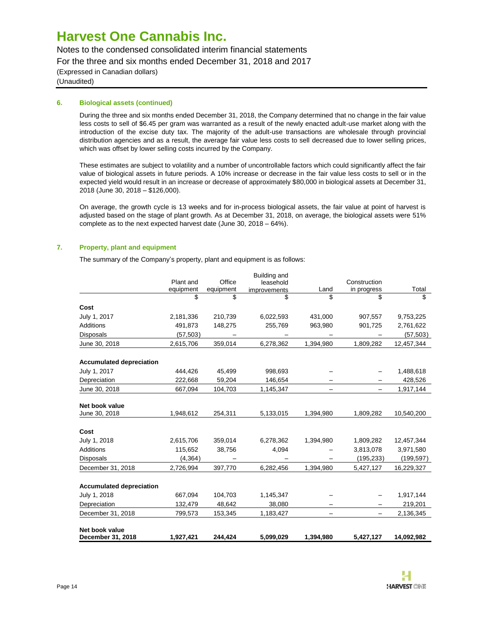Notes to the condensed consolidated interim financial statements

For the three and six months ended December 31, 2018 and 2017

(Expressed in Canadian dollars)

(Unaudited)

### **6. Biological assets (continued)**

During the three and six months ended December 31, 2018, the Company determined that no change in the fair value less costs to sell of \$6.45 per gram was warranted as a result of the newly enacted adult-use market along with the introduction of the excise duty tax. The majority of the adult-use transactions are wholesale through provincial distribution agencies and as a result, the average fair value less costs to sell decreased due to lower selling prices, which was offset by lower selling costs incurred by the Company.

These estimates are subject to volatility and a number of uncontrollable factors which could significantly affect the fair value of biological assets in future periods. A 10% increase or decrease in the fair value less costs to sell or in the expected yield would result in an increase or decrease of approximately \$80,000 in biological assets at December 31, 2018 (June 30, 2018 – \$126,000).

On average, the growth cycle is 13 weeks and for in-process biological assets, the fair value at point of harvest is adjusted based on the stage of plant growth. As at December 31, 2018, on average, the biological assets were 51% complete as to the next expected harvest date (June 30, 2018 – 64%).

### **7. Property, plant and equipment**

The summary of the Company's property, plant and equipment is as follows:

|                                     | Plant and<br>equipment | Office<br>equipment | Building and<br>leasehold<br>improvements | Land      | Construction<br>in progress | Total      |
|-------------------------------------|------------------------|---------------------|-------------------------------------------|-----------|-----------------------------|------------|
|                                     | \$                     | \$                  | \$                                        |           | \$                          | \$         |
| Cost                                |                        |                     |                                           |           |                             |            |
| July 1, 2017                        | 2,181,336              | 210,739             | 6,022,593                                 | 431,000   | 907,557                     | 9,753,225  |
| Additions                           | 491.873                | 148,275             | 255,769                                   | 963,980   | 901,725                     | 2,761,622  |
| <b>Disposals</b>                    | (57, 503)              |                     |                                           |           |                             | (57, 503)  |
| June 30, 2018                       | 2,615,706              | 359,014             | 6,278,362                                 | 1,394,980 | 1,809,282                   | 12,457,344 |
| <b>Accumulated depreciation</b>     |                        |                     |                                           |           |                             |            |
| July 1, 2017                        | 444,426                | 45,499              | 998,693                                   |           |                             | 1,488,618  |
| Depreciation                        | 222,668                | 59,204              | 146,654                                   |           |                             | 428,526    |
| June 30, 2018                       | 667,094                | 104,703             | 1,145,347                                 |           |                             | 1,917,144  |
| Net book value<br>June 30, 2018     | 1,948,612              | 254,311             | 5,133,015                                 | 1,394,980 | 1,809,282                   | 10,540,200 |
|                                     |                        |                     |                                           |           |                             |            |
| Cost                                |                        |                     |                                           |           |                             |            |
| July 1, 2018                        | 2,615,706              | 359,014             | 6,278,362                                 | 1,394,980 | 1,809,282                   | 12,457,344 |
| Additions                           | 115,652                | 38,756              | 4,094                                     |           | 3,813,078                   | 3,971,580  |
| <b>Disposals</b>                    | (4, 364)               |                     |                                           |           | (195, 233)                  | (199, 597) |
| December 31, 2018                   | 2,726,994              | 397,770             | 6,282,456                                 | 1,394,980 | 5,427,127                   | 16,229,327 |
| <b>Accumulated depreciation</b>     |                        |                     |                                           |           |                             |            |
| July 1, 2018                        | 667,094                | 104,703             | 1,145,347                                 |           |                             | 1,917,144  |
| Depreciation                        | 132,479                | 48,642              | 38,080                                    |           |                             | 219,201    |
| December 31, 2018                   | 799,573                | 153,345             | 1,183,427                                 |           |                             | 2,136,345  |
| Net book value<br>December 31, 2018 | 1,927,421              | 244,424             | 5,099,029                                 | 1,394,980 | 5,427,127                   | 14,092,982 |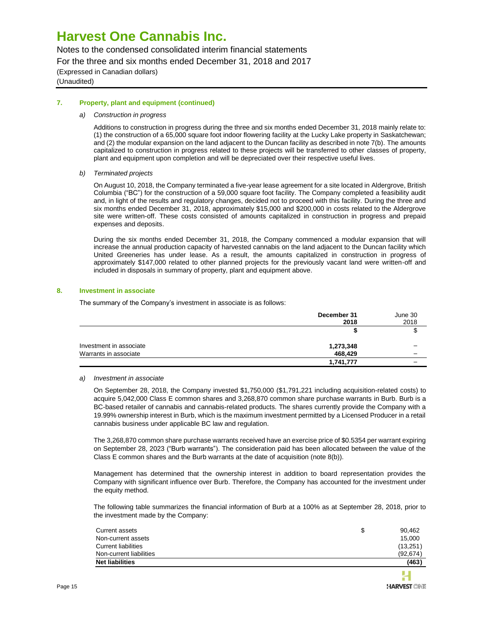Notes to the condensed consolidated interim financial statements

For the three and six months ended December 31, 2018 and 2017

(Expressed in Canadian dollars) (Unaudited)

#### **7. Property, plant and equipment (continued)**

#### *a) Construction in progress*

Additions to construction in progress during the three and six months ended December 31, 2018 mainly relate to: (1) the construction of a 65,000 square foot indoor flowering facility at the Lucky Lake property in Saskatchewan; and (2) the modular expansion on the land adjacent to the Duncan facility as described in note 7(b). The amounts capitalized to construction in progress related to these projects will be transferred to other classes of property, plant and equipment upon completion and will be depreciated over their respective useful lives.

#### *b) Terminated projects*

On August 10, 2018, the Company terminated a five-year lease agreement for a site located in Aldergrove, British Columbia ("BC") for the construction of a 59,000 square foot facility. The Company completed a feasibility audit and, in light of the results and regulatory changes, decided not to proceed with this facility. During the three and six months ended December 31, 2018, approximately \$15,000 and \$200,000 in costs related to the Aldergrove site were written-off. These costs consisted of amounts capitalized in construction in progress and prepaid expenses and deposits.

During the six months ended December 31, 2018, the Company commenced a modular expansion that will increase the annual production capacity of harvested cannabis on the land adjacent to the Duncan facility which United Greeneries has under lease. As a result, the amounts capitalized in construction in progress of approximately \$147,000 related to other planned projects for the previously vacant land were written-off and included in disposals in summary of property, plant and equipment above.

#### **8. Investment in associate**

The summary of the Company's investment in associate is as follows:

|                         | December 31<br>2018 | June 30<br>2018 |
|-------------------------|---------------------|-----------------|
|                         |                     | ۰D              |
| Investment in associate | 1,273,348           |                 |
| Warrants in associate   | 468.429             |                 |
|                         | 1,741,777           |                 |

#### *a) Investment in associate*

On September 28, 2018, the Company invested \$1,750,000 (\$1,791,221 including acquisition-related costs) to acquire 5,042,000 Class E common shares and 3,268,870 common share purchase warrants in Burb. Burb is a BC-based retailer of cannabis and cannabis-related products. The shares currently provide the Company with a 19.99% ownership interest in Burb, which is the maximum investment permitted by a Licensed Producer in a retail cannabis business under applicable BC law and regulation.

The 3,268,870 common share purchase warrants received have an exercise price of \$0.5354 per warrant expiring on September 28, 2023 ("Burb warrants"). The consideration paid has been allocated between the value of the Class E common shares and the Burb warrants at the date of acquisition (note 8(b)).

Management has determined that the ownership interest in addition to board representation provides the Company with significant influence over Burb. Therefore, the Company has accounted for the investment under the equity method.

The following table summarizes the financial information of Burb at a 100% as at September 28, 2018, prior to the investment made by the Company:

| Current assets          | S | 90.462    |
|-------------------------|---|-----------|
| Non-current assets      |   | 15,000    |
| Current liabilities     |   | (13, 251) |
| Non-current liabilities |   | (92.674)  |
| <b>Net liabilities</b>  |   | (463)     |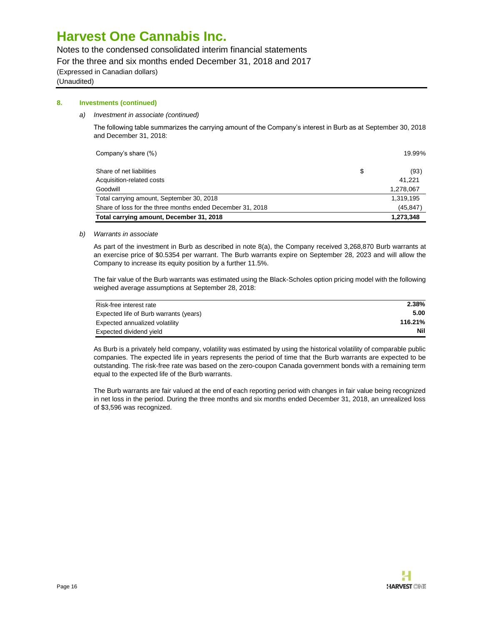Notes to the condensed consolidated interim financial statements

For the three and six months ended December 31, 2018 and 2017

(Expressed in Canadian dollars)

(Unaudited)

### **8. Investments (continued)**

*a) Investment in associate (continued)*

The following table summarizes the carrying amount of the Company's interest in Burb as at September 30, 2018 and December 31, 2018:

| Company's share (%)                                        | 19.99%     |
|------------------------------------------------------------|------------|
| Share of net liabilities                                   | \$<br>(93) |
| Acquisition-related costs                                  | 41.221     |
| Goodwill                                                   | 1,278,067  |
| Total carrying amount, September 30, 2018                  | 1,319,195  |
| Share of loss for the three months ended December 31, 2018 | (45, 847)  |
| Total carrying amount, December 31, 2018                   | 1,273,348  |

#### *b) Warrants in associate*

As part of the investment in Burb as described in note 8(a), the Company received 3,268,870 Burb warrants at an exercise price of \$0.5354 per warrant. The Burb warrants expire on September 28, 2023 and will allow the Company to increase its equity position by a further 11.5%.

The fair value of the Burb warrants was estimated using the Black-Scholes option pricing model with the following weighed average assumptions at September 28, 2018:

| Risk-free interest rate                | 2.38%   |
|----------------------------------------|---------|
| Expected life of Burb warrants (years) | 5.00    |
| Expected annualized volatility         | 116.21% |
| Expected dividend yield                | Nil     |

As Burb is a privately held company, volatility was estimated by using the historical volatility of comparable public companies. The expected life in years represents the period of time that the Burb warrants are expected to be outstanding. The risk-free rate was based on the zero-coupon Canada government bonds with a remaining term equal to the expected life of the Burb warrants.

The Burb warrants are fair valued at the end of each reporting period with changes in fair value being recognized in net loss in the period. During the three months and six months ended December 31, 2018, an unrealized loss of \$3,596 was recognized.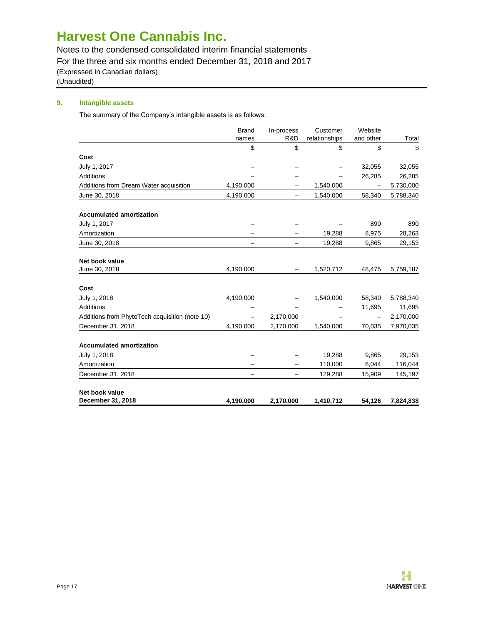Notes to the condensed consolidated interim financial statements

For the three and six months ended December 31, 2018 and 2017

(Expressed in Canadian dollars)

(Unaudited)

### **9. Intangible assets**

The summary of the Company's intangible assets is as follows:

|                                                | <b>Brand</b><br>names | In-process<br>R&D        | Customer            | Website<br>and other |             |
|------------------------------------------------|-----------------------|--------------------------|---------------------|----------------------|-------------|
|                                                | \$                    | \$                       | relationships<br>\$ | \$                   | Total<br>\$ |
| Cost                                           |                       |                          |                     |                      |             |
| July 1, 2017                                   |                       |                          |                     | 32,055               | 32,055      |
| Additions                                      |                       |                          | —                   | 26,285               | 26,285      |
|                                                | 4,190,000             |                          | 1,540,000           |                      | 5,730,000   |
| Additions from Dream Water acquisition         |                       |                          |                     |                      |             |
| June 30, 2018                                  | 4,190,000             | $\overline{\phantom{0}}$ | 1,540,000           | 58,340               | 5,788,340   |
| <b>Accumulated amortization</b>                |                       |                          |                     |                      |             |
| July 1, 2017                                   |                       |                          |                     | 890                  | 890         |
| Amortization                                   |                       |                          | 19,288              | 8,975                | 28,263      |
| June 30, 2018                                  |                       |                          | 19,288              | 9,865                | 29,153      |
| Net book value                                 |                       |                          |                     |                      |             |
| June 30, 2018                                  | 4,190,000             | —                        | 1,520,712           | 48,475               | 5,759,187   |
| Cost                                           |                       |                          |                     |                      |             |
| July 1, 2018                                   | 4,190,000             |                          | 1,540,000           | 58,340               | 5,788,340   |
| Additions                                      |                       |                          |                     | 11,695               | 11,695      |
| Additions from PhytoTech acquisition (note 10) |                       | 2,170,000                |                     |                      | 2,170,000   |
| December 31, 2018                              | 4,190,000             | 2,170,000                | 1,540,000           | 70,035               | 7,970,035   |
| <b>Accumulated amortization</b>                |                       |                          |                     |                      |             |
| July 1, 2018                                   |                       |                          | 19,288              | 9,865                | 29,153      |
| Amortization                                   |                       |                          | 110,000             | 6,044                | 116,044     |
| December 31, 2018                              |                       |                          | 129,288             | 15,909               | 145,197     |
|                                                |                       |                          |                     |                      |             |
| Net book value                                 |                       |                          |                     |                      |             |
| December 31, 2018                              | 4,190,000             | 2,170,000                | 1,410,712           | 54,126               | 7,824,838   |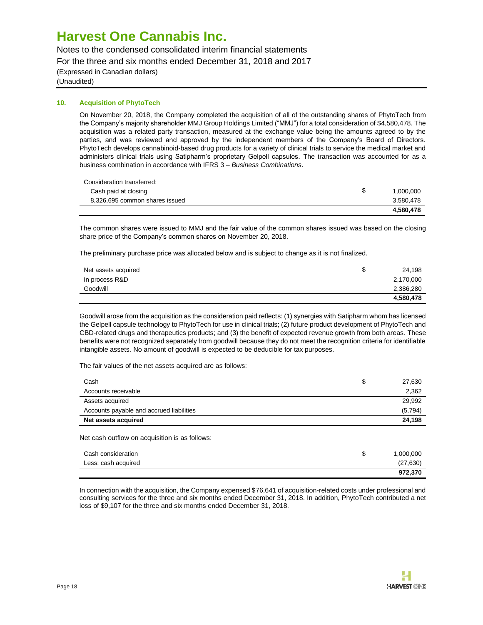Notes to the condensed consolidated interim financial statements

For the three and six months ended December 31, 2018 and 2017

(Expressed in Canadian dollars)

(Unaudited)

### **10. Acquisition of PhytoTech**

On November 20, 2018, the Company completed the acquisition of all of the outstanding shares of PhytoTech from the Company's majority shareholder MMJ Group Holdings Limited ("MMJ") for a total consideration of \$4,580,478. The acquisition was a related party transaction, measured at the exchange value being the amounts agreed to by the parties, and was reviewed and approved by the independent members of the Company's Board of Directors. PhytoTech develops cannabinoid-based drug products for a variety of clinical trials to service the medical market and administers clinical trials using Satipharm's proprietary Gelpell capsules. The transaction was accounted for as a business combination in accordance with IFRS 3 – *Business Combinations*.

| Consideration transferred:     |           |
|--------------------------------|-----------|
| Cash paid at closing           | 1.000.000 |
| 8,326,695 common shares issued | 3.580.478 |
|                                | 4.580.478 |

The common shares were issued to MMJ and the fair value of the common shares issued was based on the closing share price of the Company's common shares on November 20, 2018.

The preliminary purchase price was allocated below and is subject to change as it is not finalized.

| Net assets acquired | 24.198    |
|---------------------|-----------|
| In process R&D      | 2,170,000 |
| Goodwill            | 2,386,280 |
|                     | 4,580,478 |

Goodwill arose from the acquisition as the consideration paid reflects: (1) synergies with Satipharm whom has licensed the Gelpell capsule technology to PhytoTech for use in clinical trials; (2) future product development of PhytoTech and CBD-related drugs and therapeutics products; and (3) the benefit of expected revenue growth from both areas. These benefits were not recognized separately from goodwill because they do not meet the recognition criteria for identifiable intangible assets. No amount of goodwill is expected to be deducible for tax purposes.

The fair values of the net assets acquired are as follows:

| Cash                                     | 27,630   |
|------------------------------------------|----------|
| Accounts receivable                      | 2,362    |
| Assets acquired                          | 29.992   |
| Accounts payable and accrued liabilities | (5, 794) |
| Net assets acquired                      | 24.198   |
|                                          |          |

Net cash outflow on acquisition is as follows:

| Cash consideration  | \$<br>1,000,000 |
|---------------------|-----------------|
| Less: cash acquired | (27, 630)       |
|                     | 972,370         |

In connection with the acquisition, the Company expensed \$76,641 of acquisition-related costs under professional and consulting services for the three and six months ended December 31, 2018. In addition, PhytoTech contributed a net loss of \$9,107 for the three and six months ended December 31, 2018.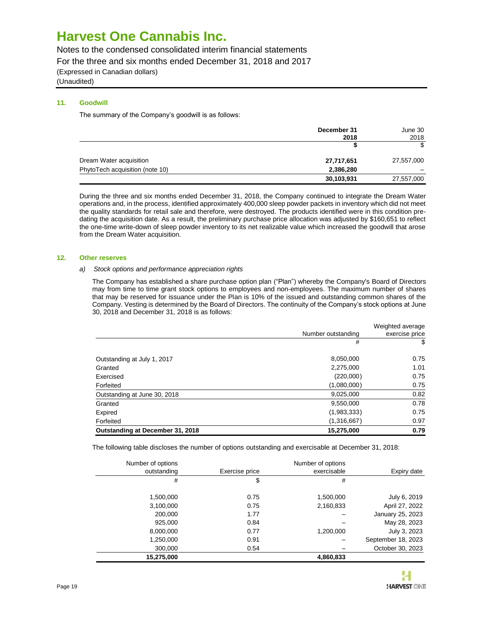Notes to the condensed consolidated interim financial statements

For the three and six months ended December 31, 2018 and 2017

(Expressed in Canadian dollars)

(Unaudited)

### **11. Goodwill**

The summary of the Company's goodwill is as follows:

|                                 | December 31<br>2018 | June 30<br>2018 |
|---------------------------------|---------------------|-----------------|
|                                 |                     | S.              |
| Dream Water acquisition         | 27,717,651          | 27,557,000      |
| PhytoTech acquisition (note 10) | 2,386,280           |                 |
|                                 | 30,103,931          | 27,557,000      |

During the three and six months ended December 31, 2018, the Company continued to integrate the Dream Water operations and, in the process, identified approximately 400,000 sleep powder packets in inventory which did not meet the quality standards for retail sale and therefore, were destroyed. The products identified were in this condition predating the acquisition date. As a result, the preliminary purchase price allocation was adjusted by \$160,651 to reflect the one-time write-down of sleep powder inventory to its net realizable value which increased the goodwill that arose from the Dream Water acquisition.

#### **12. Other reserves**

#### *a) Stock options and performance appreciation rights*

The Company has established a share purchase option plan ("Plan") whereby the Company's Board of Directors may from time to time grant stock options to employees and non-employees. The maximum number of shares that may be reserved for issuance under the Plan is 10% of the issued and outstanding common shares of the Company. Vesting is determined by the Board of Directors. The continuity of the Company's stock options at June 30, 2018 and December 31, 2018 is as follows:

|                                  | Number outstanding | Weighted average<br>exercise price |
|----------------------------------|--------------------|------------------------------------|
|                                  | #                  | \$                                 |
| Outstanding at July 1, 2017      | 8,050,000          | 0.75                               |
| Granted                          | 2,275,000          | 1.01                               |
| Exercised                        | (220,000)          | 0.75                               |
| Forfeited                        | (1,080,000)        | 0.75                               |
| Outstanding at June 30, 2018     | 9,025,000          | 0.82                               |
| Granted                          | 9,550,000          | 0.78                               |
| Expired                          | (1,983,333)        | 0.75                               |
| Forfeited                        | (1,316,667)        | 0.97                               |
| Outstanding at December 31, 2018 | 15,275,000         | 0.79                               |

The following table discloses the number of options outstanding and exercisable at December 31, 2018:

| Number of options |                | Number of options |                    |
|-------------------|----------------|-------------------|--------------------|
| outstanding       | Exercise price | exercisable       | Expiry date        |
| #                 | \$             | #                 |                    |
|                   |                |                   |                    |
| 1,500,000         | 0.75           | 1,500,000         | July 6, 2019       |
| 3,100,000         | 0.75           | 2,160,833         | April 27, 2022     |
| 200,000           | 1.77           |                   | January 25, 2023   |
| 925,000           | 0.84           |                   | May 28, 2023       |
| 8,000,000         | 0.77           | 1,200,000         | July 3, 2023       |
| 1,250,000         | 0.91           |                   | September 18, 2023 |
| 300,000           | 0.54           |                   | October 30, 2023   |
| 15,275,000        |                | 4,860,833         |                    |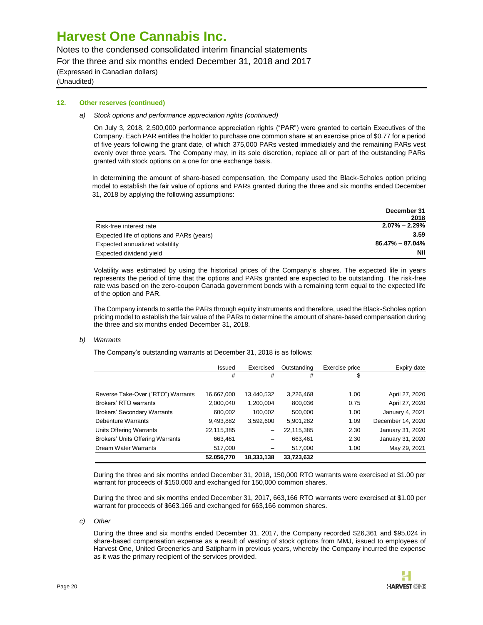Notes to the condensed consolidated interim financial statements

For the three and six months ended December 31, 2018 and 2017

(Expressed in Canadian dollars)

(Unaudited)

#### **12. Other reserves (continued)**

#### *a) Stock options and performance appreciation rights (continued)*

On July 3, 2018, 2,500,000 performance appreciation rights ("PAR") were granted to certain Executives of the Company. Each PAR entitles the holder to purchase one common share at an exercise price of \$0.77 for a period of five years following the grant date, of which 375,000 PARs vested immediately and the remaining PARs vest evenly over three years. The Company may, in its sole discretion, replace all or part of the outstanding PARs granted with stock options on a one for one exchange basis.

In determining the amount of share-based compensation, the Company used the Black-Scholes option pricing model to establish the fair value of options and PARs granted during the three and six months ended December 31, 2018 by applying the following assumptions:

|                                           | December 31         |
|-------------------------------------------|---------------------|
|                                           | 2018                |
| Risk-free interest rate                   | $2.07\% - 2.29\%$   |
| Expected life of options and PARs (years) | 3.59                |
| Expected annualized volatility            | $86.47\% - 87.04\%$ |
| Expected dividend yield                   | Nil                 |

Volatility was estimated by using the historical prices of the Company's shares. The expected life in years represents the period of time that the options and PARs granted are expected to be outstanding. The risk-free rate was based on the zero-coupon Canada government bonds with a remaining term equal to the expected life of the option and PAR.

The Company intends to settle the PARs through equity instruments and therefore, used the Black-Scholes option pricing model to establish the fair value of the PARs to determine the amount of share-based compensation during the three and six months ended December 31, 2018.

#### *b) Warrants*

The Company's outstanding warrants at December 31, 2018 is as follows:

|                                    | Issued     | Exercised  | Outstanding | Exercise price | Expiry date       |
|------------------------------------|------------|------------|-------------|----------------|-------------------|
|                                    | #          | #          | #           | \$             |                   |
|                                    |            |            |             |                |                   |
| Reverse Take-Over ("RTO") Warrants | 16,667,000 | 13.440.532 | 3,226,468   | 1.00           | April 27, 2020    |
| Brokers' RTO warrants              | 2,000,040  | 1,200,004  | 800.036     | 0.75           | April 27, 2020    |
| <b>Brokers' Secondary Warrants</b> | 600,002    | 100.002    | 500.000     | 1.00           | January 4, 2021   |
| Debenture Warrants                 | 9,493,882  | 3.592.600  | 5.901.282   | 1.09           | December 14, 2020 |
| Units Offering Warrants            | 22,115,385 | -          | 22,115,385  | 2.30           | January 31, 2020  |
| Brokers' Units Offering Warrants   | 663,461    | -          | 663.461     | 2.30           | January 31, 2020  |
| <b>Dream Water Warrants</b>        | 517.000    | -          | 517.000     | 1.00           | May 29, 2021      |
|                                    | 52,056,770 | 18.333.138 | 33,723,632  |                |                   |

During the three and six months ended December 31, 2018, 150,000 RTO warrants were exercised at \$1.00 per warrant for proceeds of \$150,000 and exchanged for 150,000 common shares.

During the three and six months ended December 31, 2017, 663,166 RTO warrants were exercised at \$1.00 per warrant for proceeds of \$663,166 and exchanged for 663,166 common shares.

*c) Other*

During the three and six months ended December 31, 2017, the Company recorded \$26,361 and \$95,024 in share-based compensation expense as a result of vesting of stock options from MMJ, issued to employees of Harvest One, United Greeneries and Satipharm in previous years, whereby the Company incurred the expense as it was the primary recipient of the services provided.

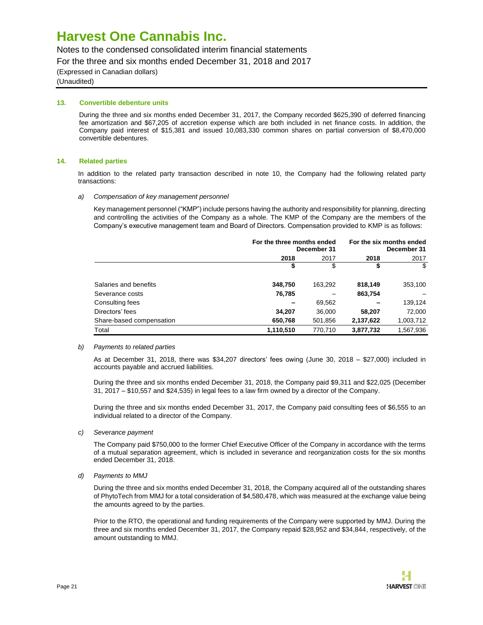Notes to the condensed consolidated interim financial statements

For the three and six months ended December 31, 2018 and 2017

(Expressed in Canadian dollars)

(Unaudited)

#### **13. Convertible debenture units**

During the three and six months ended December 31, 2017, the Company recorded \$625,390 of deferred financing fee amortization and \$67,205 of accretion expense which are both included in net finance costs. In addition, the Company paid interest of \$15,381 and issued 10,083,330 common shares on partial conversion of \$8,470,000 convertible debentures.

#### **14. Related parties**

In addition to the related party transaction described in note 10, the Company had the following related party transactions:

*a) Compensation of key management personnel*

Key management personnel ("KMP") include persons having the authority and responsibility for planning, directing and controlling the activities of the Company as a whole. The KMP of the Company are the members of the Company's executive management team and Board of Directors. Compensation provided to KMP is as follows:

|                          | For the three months ended<br>December 31 | For the six months ended<br>December 31 |           |           |  |
|--------------------------|-------------------------------------------|-----------------------------------------|-----------|-----------|--|
|                          | 2018                                      | 2017                                    | 2018      | 2017      |  |
|                          | \$                                        | \$                                      | \$        | \$        |  |
| Salaries and benefits    | 348,750                                   | 163,292                                 | 818,149   | 353,100   |  |
| Severance costs          | 76,785                                    |                                         | 863,754   |           |  |
| Consulting fees          |                                           | 69,562                                  |           | 139,124   |  |
| Directors' fees          | 34.207                                    | 36,000                                  | 58,207    | 72,000    |  |
| Share-based compensation | 650,768                                   | 501,856                                 | 2,137,622 | 1,003,712 |  |
| Total                    | 1,110,510                                 | 770.710                                 | 3,877,732 | 1,567,936 |  |

#### *b) Payments to related parties*

As at December 31, 2018, there was \$34,207 directors' fees owing (June 30, 2018 – \$27,000) included in accounts payable and accrued liabilities.

During the three and six months ended December 31, 2018, the Company paid \$9,311 and \$22,025 (December 31, 2017 – \$10,557 and \$24,535) in legal fees to a law firm owned by a director of the Company.

During the three and six months ended December 31, 2017, the Company paid consulting fees of \$6,555 to an individual related to a director of the Company.

*c) Severance payment*

The Company paid \$750,000 to the former Chief Executive Officer of the Company in accordance with the terms of a mutual separation agreement, which is included in severance and reorganization costs for the six months ended December 31, 2018.

*d) Payments to MMJ*

During the three and six months ended December 31, 2018, the Company acquired all of the outstanding shares of PhytoTech from MMJ for a total consideration of \$4,580,478, which was measured at the exchange value being the amounts agreed to by the parties.

Prior to the RTO, the operational and funding requirements of the Company were supported by MMJ. During the three and six months ended December 31, 2017, the Company repaid \$28,952 and \$34,844, respectively, of the amount outstanding to MMJ.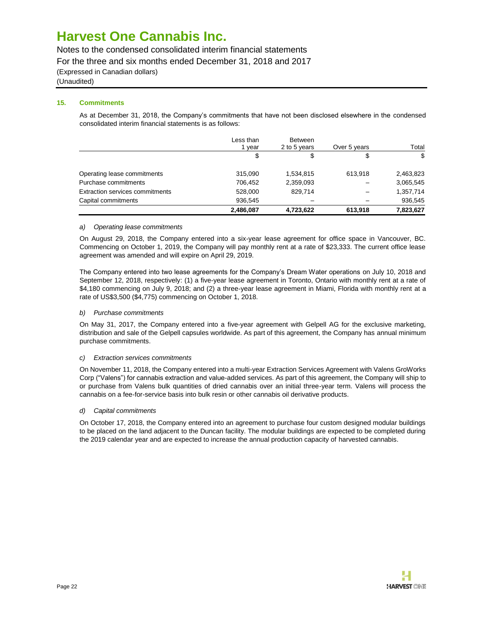Notes to the condensed consolidated interim financial statements

For the three and six months ended December 31, 2018 and 2017

(Expressed in Canadian dollars)

### (Unaudited)

### **15. Commitments**

As at December 31, 2018, the Company's commitments that have not been disclosed elsewhere in the condensed consolidated interim financial statements is as follows:

|                                        | Less than<br>vear | <b>Between</b><br>2 to 5 years | Over 5 years | Total     |
|----------------------------------------|-------------------|--------------------------------|--------------|-----------|
|                                        | \$                | \$                             | \$           | \$        |
| Operating lease commitments            | 315,090           | 1,534,815                      | 613,918      | 2,463,823 |
| Purchase commitments                   | 706,452           | 2,359,093                      |              | 3,065,545 |
| <b>Extraction services commitments</b> | 528,000           | 829.714                        |              | 1,357,714 |
| Capital commitments                    | 936,545           |                                |              | 936,545   |
|                                        | 2,486,087         | 4,723,622                      | 613,918      | 7,823,627 |

#### *a) Operating lease commitments*

On August 29, 2018, the Company entered into a six-year lease agreement for office space in Vancouver, BC. Commencing on October 1, 2019, the Company will pay monthly rent at a rate of \$23,333. The current office lease agreement was amended and will expire on April 29, 2019.

The Company entered into two lease agreements for the Company's Dream Water operations on July 10, 2018 and September 12, 2018, respectively: (1) a five-year lease agreement in Toronto, Ontario with monthly rent at a rate of \$4,180 commencing on July 9, 2018; and (2) a three-year lease agreement in Miami, Florida with monthly rent at a rate of US\$3,500 (\$4,775) commencing on October 1, 2018.

#### *b) Purchase commitments*

On May 31, 2017, the Company entered into a five-year agreement with Gelpell AG for the exclusive marketing, distribution and sale of the Gelpell capsules worldwide. As part of this agreement, the Company has annual minimum purchase commitments.

#### *c) Extraction services commitments*

On November 11, 2018, the Company entered into a multi-year Extraction Services Agreement with Valens GroWorks Corp ("Valens") for cannabis extraction and value-added services. As part of this agreement, the Company will ship to or purchase from Valens bulk quantities of dried cannabis over an initial three-year term. Valens will process the cannabis on a fee-for-service basis into bulk resin or other cannabis oil derivative products.

#### *d) Capital commitments*

On October 17, 2018, the Company entered into an agreement to purchase four custom designed modular buildings to be placed on the land adjacent to the Duncan facility. The modular buildings are expected to be completed during the 2019 calendar year and are expected to increase the annual production capacity of harvested cannabis.

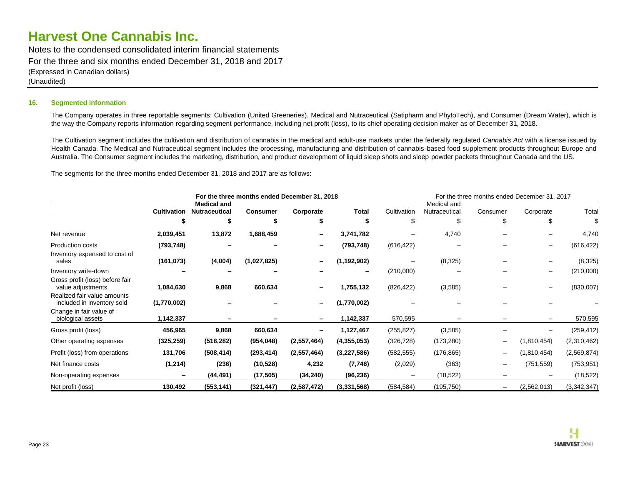Notes to the condensed consolidated interim financial statements For the three and six months ended December 31, 2018 and 2017 (Expressed in Canadian dollars) (Unaudited)

#### **16. Segmented information**

The Company operates in three reportable segments: Cultivation (United Greeneries), Medical and Nutraceutical (Satipharm and PhytoTech), and Consumer (Dream Water), which is the way the Company reports information regarding segment performance, including net profit (loss), to its chief operating decision maker as of December 31, 2018.

The Cultivation segment includes the cultivation and distribution of cannabis in the medical and adult-use markets under the federally regulated *Cannabis Act* with a license issued by Health Canada. The Medical and Nutraceutical segment includes the processing, manufacturing and distribution of cannabis-based food supplement products throughout Europe and Australia. The Consumer segment includes the marketing, distribution, and product development of liquid sleep shots and sleep powder packets throughout Canada and the US.

The segments for the three months ended December 31, 2018 and 2017 are as follows:

| For the three months ended December 31, 2018              |                    |                                            |                 |               |               | For the three months ended December 31, 2017 |                              |                   |                          |               |
|-----------------------------------------------------------|--------------------|--------------------------------------------|-----------------|---------------|---------------|----------------------------------------------|------------------------------|-------------------|--------------------------|---------------|
|                                                           | <b>Cultivation</b> | <b>Medical and</b><br><b>Nutraceutical</b> | <b>Consumer</b> | Corporate     | Total         | Cultivation                                  | Medical and<br>Nutraceutical | Consumer          | Corporate                | Total         |
|                                                           |                    | \$                                         | \$              | \$            | S             | \$                                           | \$                           | \$                | \$                       |               |
| Net revenue                                               | 2,039,451          | 13,872                                     | 1,688,459       |               | 3,741,782     |                                              | 4,740                        |                   |                          | 4,740         |
| <b>Production costs</b><br>Inventory expensed to cost of  | (793, 748)         |                                            |                 |               | (793, 748)    | (616, 422)                                   |                              |                   |                          | (616, 422)    |
| sales                                                     | (161, 073)         | (4,004)                                    | (1,027,825)     |               | (1, 192, 902) |                                              | (8,325)                      |                   |                          | (8,325)       |
| Inventory write-down                                      |                    | -                                          |                 |               | -             | (210,000)                                    |                              |                   | -                        | (210,000)     |
| Gross profit (loss) before fair<br>value adjustments      | 1,084,630          | 9,868                                      | 660,634         |               | 1,755,132     | (826, 422)                                   | (3, 585)                     |                   | $\overline{\phantom{m}}$ | (830,007)     |
| Realized fair value amounts<br>included in inventory sold | (1,770,002)        |                                            |                 |               | (1,770,002)   |                                              |                              |                   |                          |               |
| Change in fair value of<br>biological assets              | 1,142,337          |                                            |                 |               | 1,142,337     | 570,595                                      |                              |                   | —                        | 570,595       |
| Gross profit (loss)                                       | 456,965            | 9,868                                      | 660,634         | Ξ.            | 1,127,467     | (255, 827)                                   | (3, 585)                     |                   | —                        | (259, 412)    |
| Other operating expenses                                  | (325, 259)         | (518, 282)                                 | (954, 048)      | (2, 557, 464) | (4,355,053)   | (326, 728)                                   | (173, 280)                   |                   | (1,810,454)              | (2,310,462)   |
| Profit (loss) from operations                             | 131,706            | (508, 414)                                 | (293, 414)      | (2,557,464)   | (3,227,586)   | (582, 555)                                   | (176, 865)                   |                   | (1,810,454)              | (2, 569, 874) |
| Net finance costs                                         | (1,214)            | (236)                                      | (10, 528)       | 4,232         | (7, 746)      | (2,029)                                      | (363)                        | $\qquad \qquad -$ | (751, 559)               | (753, 951)    |
| Non-operating expenses                                    |                    | (44,491)                                   | (17, 505)       | (34, 240)     | (96, 236)     |                                              | (18, 522)                    |                   |                          | (18,522)      |
| Net profit (loss)                                         | 130,492            | (553, 141)                                 | (321, 447)      | (2,587,472)   | (3,331,568)   | (584, 584)                                   | (195,750)                    |                   | (2,562,013)              | (3,342,347)   |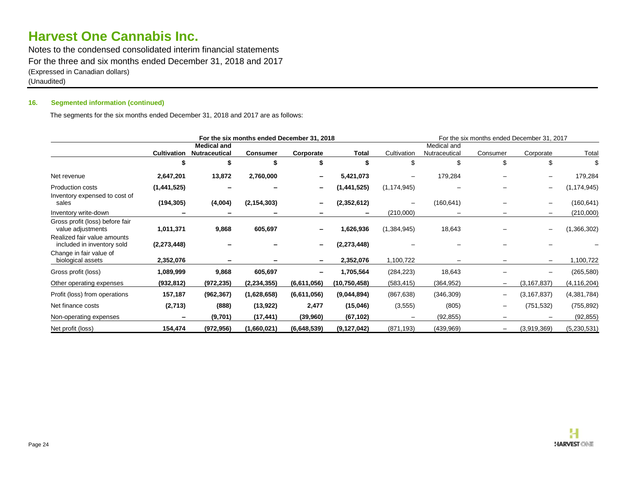Notes to the condensed consolidated interim financial statements For the three and six months ended December 31, 2018 and 2017 (Expressed in Canadian dollars) (Unaudited)

### **16. Segmented information (continued)**

The segments for the six months ended December 31, 2018 and 2017 are as follows:

| For the six months ended December 31, 2018                |                    |                                            |                 |             |                | For the six months ended December 31, 2017 |                              |                          |                          |               |
|-----------------------------------------------------------|--------------------|--------------------------------------------|-----------------|-------------|----------------|--------------------------------------------|------------------------------|--------------------------|--------------------------|---------------|
|                                                           | <b>Cultivation</b> | <b>Medical and</b><br><b>Nutraceutical</b> | <b>Consumer</b> | Corporate   | Total          | Cultivation                                | Medical and<br>Nutraceutical | Consumer                 | Corporate                | Total         |
|                                                           |                    |                                            | \$              |             |                |                                            | \$                           | \$                       | \$                       |               |
| Net revenue                                               | 2,647,201          | 13,872                                     | 2,760,000       |             | 5,421,073      |                                            | 179,284                      |                          |                          | 179,284       |
| <b>Production costs</b><br>Inventory expensed to cost of  | (1,441,525)        |                                            |                 |             | (1,441,525)    | (1, 174, 945)                              |                              |                          | —                        | (1, 174, 945) |
| sales                                                     | (194, 305)         | (4,004)                                    | (2, 154, 303)   |             | (2,352,612)    | $\qquad \qquad -$                          | (160, 641)                   |                          | $\overline{\phantom{m}}$ | (160, 641)    |
| Inventory write-down                                      |                    |                                            |                 |             |                | (210,000)                                  |                              |                          | $\qquad \qquad -$        | (210,000)     |
| Gross profit (loss) before fair<br>value adjustments      | 1,011,371          | 9,868                                      | 605,697         |             | 1,626,936      | (1,384,945)                                | 18,643                       |                          |                          | (1,366,302)   |
| Realized fair value amounts<br>included in inventory sold | (2, 273, 448)      |                                            |                 |             | (2, 273, 448)  |                                            |                              |                          |                          |               |
| Change in fair value of<br>biological assets              | 2,352,076          |                                            |                 |             | 2,352,076      | 1,100,722                                  |                              |                          | $\overline{\phantom{m}}$ | 1,100,722     |
| Gross profit (loss)                                       | 1,089,999          | 9,868                                      | 605,697         |             | 1,705,564      | (284, 223)                                 | 18,643                       |                          |                          | (265, 580)    |
| Other operating expenses                                  | (932,812)          | (972, 235)                                 | (2, 234, 355)   | (6,611,056) | (10, 750, 458) | (583, 415)                                 | (364, 952)                   | $\overline{\phantom{0}}$ | (3, 167, 837)            | (4, 116, 204) |
| Profit (loss) from operations                             | 157,187            | (962, 367)                                 | (1,628,658)     | (6,611,056) | (9,044,894)    | (867, 638)                                 | (346, 309)                   | $\overline{\phantom{0}}$ | (3, 167, 837)            | (4,381,784)   |
| Net finance costs                                         | (2,713)            | (888)                                      | (13, 922)       | 2,477       | (15,046)       | (3, 555)                                   | (805)                        | -                        | (751, 532)               | (755, 892)    |
| Non-operating expenses                                    |                    | (9,701)                                    | (17, 441)       | (39,960)    | (67, 102)      |                                            | (92, 855)                    |                          |                          | (92, 855)     |
| Net profit (loss)                                         | 154,474            | (972, 956)                                 | (1,660,021)     | (6,648,539) | (9, 127, 042)  | (871, 193)                                 | (439, 969)                   |                          | (3,919,369)              | (5, 230, 531) |